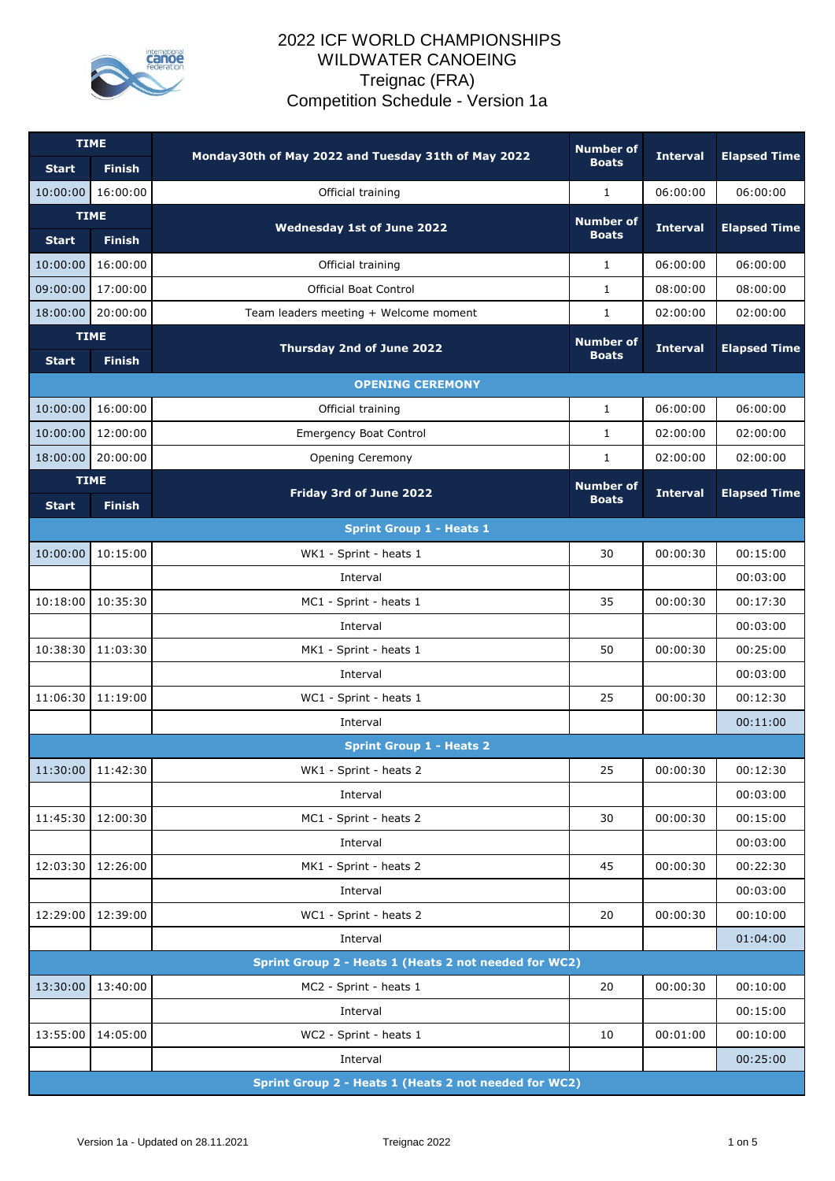

| Monday30th of May 2022 and Tuesday 31th of May 2022<br><b>Interval</b><br><b>Boats</b><br><b>Finish</b><br><b>Start</b>                  | <b>Elapsed Time</b> |  |  |  |  |
|------------------------------------------------------------------------------------------------------------------------------------------|---------------------|--|--|--|--|
|                                                                                                                                          |                     |  |  |  |  |
| 16:00:00<br>Official training<br>06:00:00<br>10:00:00<br>1                                                                               | 06:00:00            |  |  |  |  |
| <b>TIME</b><br><b>Number of</b><br><b>Wednesday 1st of June 2022</b><br><b>Interval</b><br><b>Boats</b><br><b>Finish</b><br><b>Start</b> | <b>Elapsed Time</b> |  |  |  |  |
| 16:00:00<br>06:00:00<br>10:00:00<br>Official training<br>$\mathbf{1}$                                                                    | 06:00:00            |  |  |  |  |
| 09:00:00<br>17:00:00<br>08:00:00<br><b>Official Boat Control</b><br>$\mathbf{1}$                                                         | 08:00:00            |  |  |  |  |
| 20:00:00<br>18:00:00<br>$\mathbf{1}$<br>02:00:00<br>Team leaders meeting + Welcome moment                                                | 02:00:00            |  |  |  |  |
| <b>TIME</b><br><b>Number of</b>                                                                                                          |                     |  |  |  |  |
| Thursday 2nd of June 2022<br><b>Interval</b><br><b>Boats</b><br><b>Finish</b><br><b>Start</b>                                            | <b>Elapsed Time</b> |  |  |  |  |
| <b>OPENING CEREMONY</b>                                                                                                                  |                     |  |  |  |  |
| 10:00:00<br>16:00:00<br>$\mathbf{1}$<br>Official training<br>06:00:00                                                                    | 06:00:00            |  |  |  |  |
| 10:00:00<br>12:00:00<br><b>Emergency Boat Control</b><br>$\mathbf{1}$<br>02:00:00                                                        | 02:00:00            |  |  |  |  |
| 18:00:00<br>20:00:00<br>02:00:00<br>Opening Ceremony<br>$\mathbf{1}$                                                                     | 02:00:00            |  |  |  |  |
| <b>TIME</b><br><b>Number of</b><br>Friday 3rd of June 2022<br><b>Interval</b><br><b>Boats</b><br><b>Finish</b><br><b>Start</b>           | <b>Elapsed Time</b> |  |  |  |  |
| <b>Sprint Group 1 - Heats 1</b>                                                                                                          |                     |  |  |  |  |
| 10:00:00<br>10:15:00<br>WK1 - Sprint - heats 1<br>30<br>00:00:30                                                                         | 00:15:00            |  |  |  |  |
| Interval                                                                                                                                 | 00:03:00            |  |  |  |  |
| 10:18:00<br>10:35:30<br>MC1 - Sprint - heats 1<br>35<br>00:00:30                                                                         | 00:17:30            |  |  |  |  |
| Interval                                                                                                                                 | 00:03:00            |  |  |  |  |
| 10:38:30<br>11:03:30<br>50<br>00:00:30<br>MK1 - Sprint - heats 1                                                                         | 00:25:00            |  |  |  |  |
| Interval                                                                                                                                 | 00:03:00            |  |  |  |  |
| 11:06:30<br>11:19:00<br>WC1 - Sprint - heats 1<br>25<br>00:00:30                                                                         | 00:12:30            |  |  |  |  |
| Interval                                                                                                                                 | 00:11:00            |  |  |  |  |
| <b>Sprint Group 1 - Heats 2</b>                                                                                                          |                     |  |  |  |  |
| 11:30:00<br>11:42:30<br>25<br>00:00:30<br>WK1 - Sprint - heats 2                                                                         | 00:12:30            |  |  |  |  |
| Interval                                                                                                                                 | 00:03:00            |  |  |  |  |
| 12:00:30<br>MC1 - Sprint - heats 2<br>30<br>00:00:30<br>11:45:30                                                                         | 00:15:00            |  |  |  |  |
| Interval                                                                                                                                 | 00:03:00            |  |  |  |  |
| 12:03:30<br>12:26:00<br>MK1 - Sprint - heats 2<br>45<br>00:00:30                                                                         | 00:22:30            |  |  |  |  |
| Interval                                                                                                                                 | 00:03:00            |  |  |  |  |
| WC1 - Sprint - heats 2<br>00:00:30<br>12:29:00<br>12:39:00<br>20                                                                         | 00:10:00            |  |  |  |  |
| Interval                                                                                                                                 | 01:04:00            |  |  |  |  |
| Sprint Group 2 - Heats 1 (Heats 2 not needed for WC2)                                                                                    |                     |  |  |  |  |
| 13:40:00<br>MC2 - Sprint - heats 1<br>20<br>00:00:30<br>13:30:00                                                                         | 00:10:00            |  |  |  |  |
| Interval                                                                                                                                 | 00:15:00            |  |  |  |  |
| 13:55:00<br>14:05:00<br>WC2 - Sprint - heats 1<br>10<br>00:01:00                                                                         | 00:10:00            |  |  |  |  |
| Interval<br>Sprint Group 2 - Heats 1 (Heats 2 not needed for WC2)                                                                        | 00:25:00            |  |  |  |  |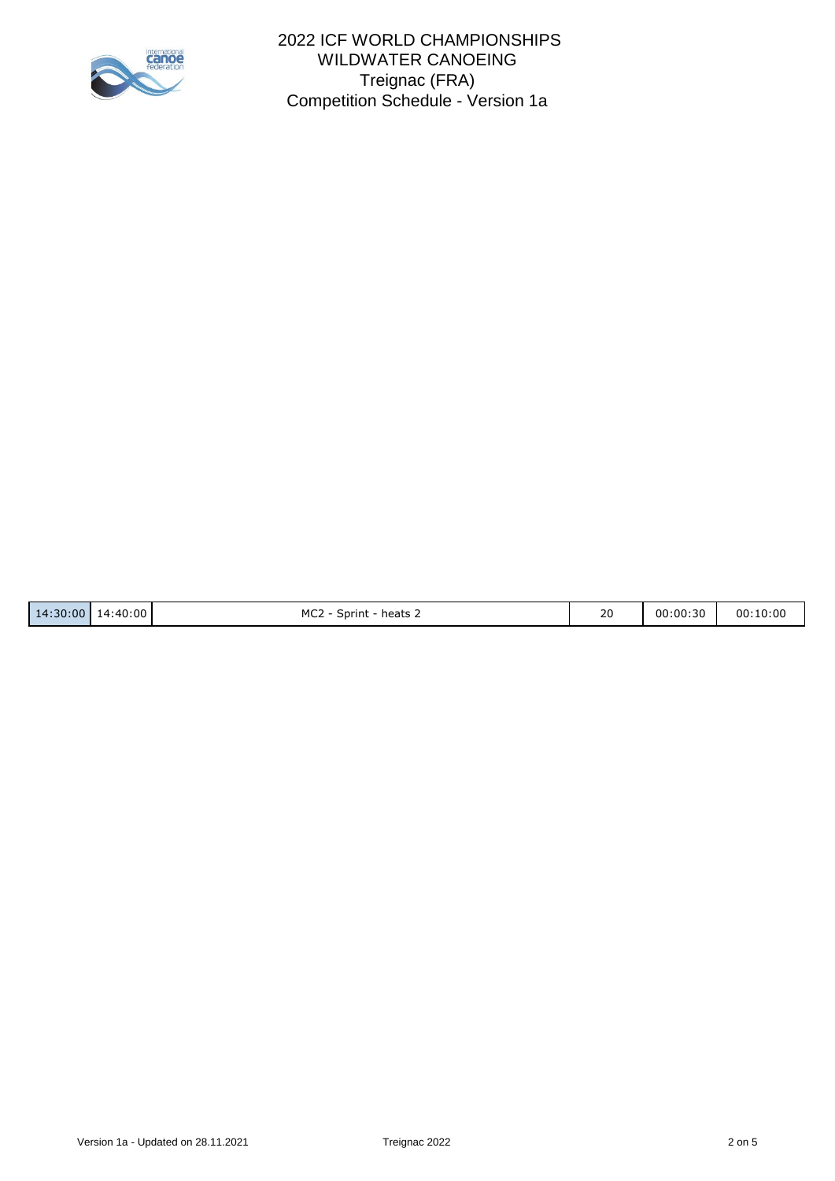

| 14:30:00 | 14:40:00 | MC <sub>2</sub><br>heats<br>Sprint | 20<br>__ | 00:00:30 | 00:10:00 |
|----------|----------|------------------------------------|----------|----------|----------|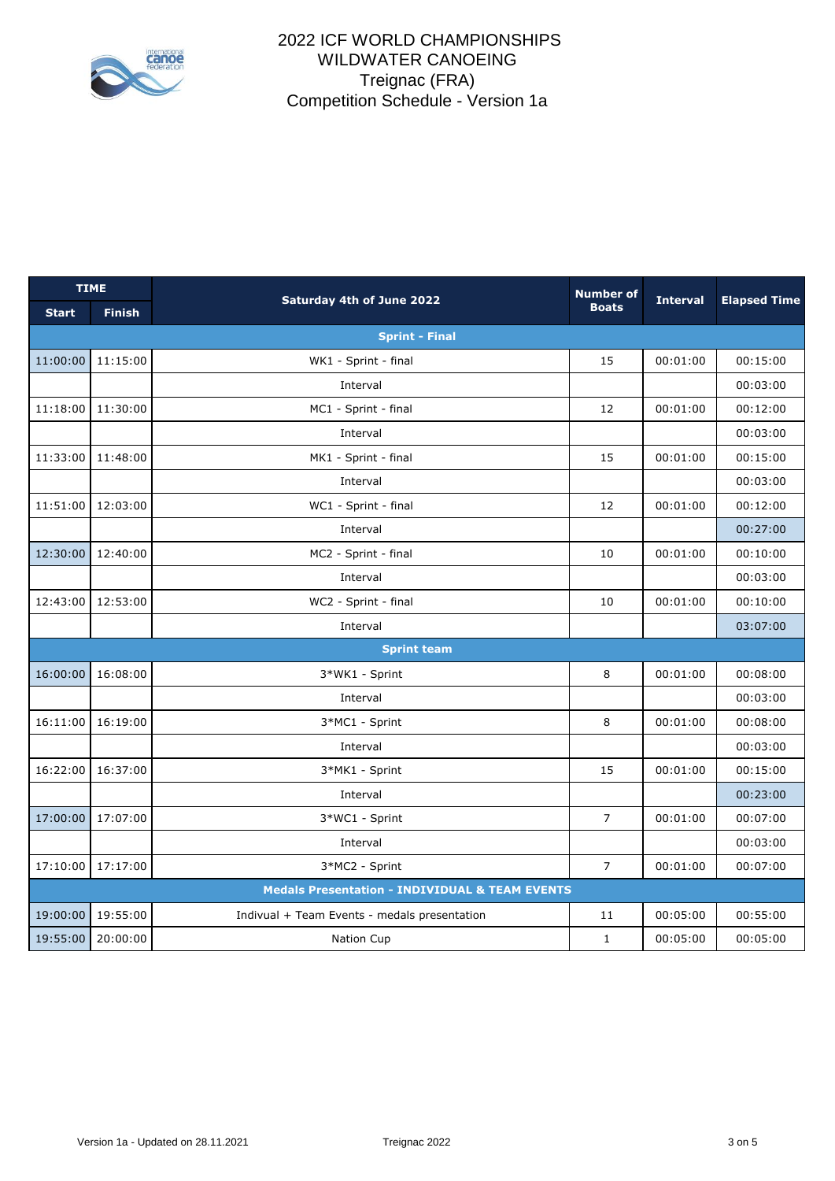

| <b>TIME</b>                                               |               | Saturday 4th of June 2022                    | <b>Number of</b> | <b>Interval</b> | <b>Elapsed Time</b> |  |
|-----------------------------------------------------------|---------------|----------------------------------------------|------------------|-----------------|---------------------|--|
| <b>Start</b>                                              | <b>Finish</b> |                                              | <b>Boats</b>     |                 |                     |  |
| <b>Sprint - Final</b>                                     |               |                                              |                  |                 |                     |  |
| 11:00:00                                                  | 11:15:00      | WK1 - Sprint - final                         | 15               | 00:01:00        | 00:15:00            |  |
|                                                           |               | Interval                                     |                  |                 | 00:03:00            |  |
| 11:18:00                                                  | 11:30:00      | MC1 - Sprint - final                         | 12               | 00:01:00        | 00:12:00            |  |
|                                                           |               | Interval                                     |                  |                 | 00:03:00            |  |
| 11:33:00                                                  | 11:48:00      | MK1 - Sprint - final                         | 15               | 00:01:00        | 00:15:00            |  |
|                                                           |               | Interval                                     |                  |                 | 00:03:00            |  |
| 11:51:00                                                  | 12:03:00      | WC1 - Sprint - final                         | 12               | 00:01:00        | 00:12:00            |  |
|                                                           |               | Interval                                     |                  |                 | 00:27:00            |  |
| 12:30:00                                                  | 12:40:00      | MC2 - Sprint - final                         | 10               | 00:01:00        | 00:10:00            |  |
|                                                           |               | Interval                                     |                  |                 | 00:03:00            |  |
| 12:43:00                                                  | 12:53:00      | WC2 - Sprint - final                         | 10               | 00:01:00        | 00:10:00            |  |
|                                                           |               | Interval                                     |                  |                 | 03:07:00            |  |
|                                                           |               | <b>Sprint team</b>                           |                  |                 |                     |  |
| 16:00:00                                                  | 16:08:00      | 3*WK1 - Sprint                               | 8                | 00:01:00        | 00:08:00            |  |
|                                                           |               | Interval                                     |                  |                 | 00:03:00            |  |
| 16:11:00                                                  | 16:19:00      | 3*MC1 - Sprint                               | 8                | 00:01:00        | 00:08:00            |  |
|                                                           |               | Interval                                     |                  |                 | 00:03:00            |  |
| 16:22:00                                                  | 16:37:00      | 3*MK1 - Sprint                               | 15               | 00:01:00        | 00:15:00            |  |
|                                                           |               | Interval                                     |                  |                 | 00:23:00            |  |
| 17:00:00                                                  | 17:07:00      | 3*WC1 - Sprint                               | $\overline{7}$   | 00:01:00        | 00:07:00            |  |
|                                                           |               | Interval                                     |                  |                 | 00:03:00            |  |
| 17:10:00                                                  | 17:17:00      | 3*MC2 - Sprint                               | $\overline{7}$   | 00:01:00        | 00:07:00            |  |
| <b>Medals Presentation - INDIVIDUAL &amp; TEAM EVENTS</b> |               |                                              |                  |                 |                     |  |
| 19:00:00                                                  | 19:55:00      | Indivual + Team Events - medals presentation | 11               | 00:05:00        | 00:55:00            |  |
| 19:55:00                                                  | 20:00:00      | Nation Cup                                   | $\mathbf{1}$     | 00:05:00        | 00:05:00            |  |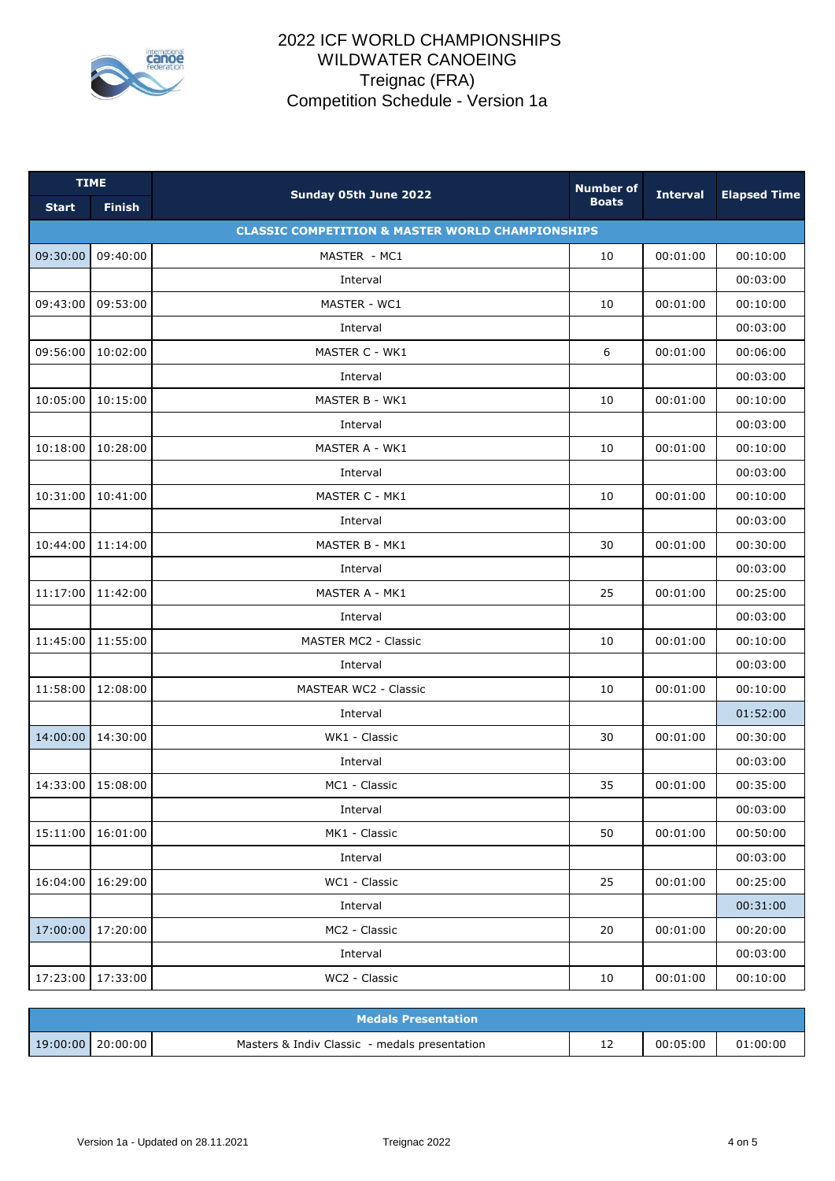

| <b>TIME</b>  |                                                             |                              | <b>Number of</b> | <b>Interval</b> |                     |  |  |
|--------------|-------------------------------------------------------------|------------------------------|------------------|-----------------|---------------------|--|--|
| <b>Start</b> | <b>Finish</b>                                               | Sunday 05th June 2022        | <b>Boats</b>     |                 | <b>Elapsed Time</b> |  |  |
|              | <b>CLASSIC COMPETITION &amp; MASTER WORLD CHAMPIONSHIPS</b> |                              |                  |                 |                     |  |  |
| 09:30:00     | 09:40:00                                                    | MASTER - MC1                 | 10               | 00:01:00        | 00:10:00            |  |  |
|              |                                                             | Interval                     |                  |                 | 00:03:00            |  |  |
| 09:43:00     | 09:53:00                                                    | MASTER - WC1                 | 10               | 00:01:00        | 00:10:00            |  |  |
|              |                                                             | Interval                     |                  |                 | 00:03:00            |  |  |
| 09:56:00     | 10:02:00                                                    | MASTER C - WK1               | 6                | 00:01:00        | 00:06:00            |  |  |
|              |                                                             | Interval                     |                  |                 | 00:03:00            |  |  |
| 10:05:00     | 10:15:00                                                    | MASTER B - WK1               | 10               | 00:01:00        | 00:10:00            |  |  |
|              |                                                             | Interval                     |                  |                 | 00:03:00            |  |  |
| 10:18:00     | 10:28:00                                                    | MASTER A - WK1               | 10               | 00:01:00        | 00:10:00            |  |  |
|              |                                                             | Interval                     |                  |                 | 00:03:00            |  |  |
| 10:31:00     | 10:41:00                                                    | MASTER C - MK1               | 10               | 00:01:00        | 00:10:00            |  |  |
|              |                                                             | Interval                     |                  |                 | 00:03:00            |  |  |
| 10:44:00     | 11:14:00                                                    | MASTER B - MK1               | 30               | 00:01:00        | 00:30:00            |  |  |
|              |                                                             | Interval                     |                  |                 | 00:03:00            |  |  |
| 11:17:00     | 11:42:00                                                    | MASTER A - MK1               | 25               | 00:01:00        | 00:25:00            |  |  |
|              |                                                             | Interval                     |                  |                 | 00:03:00            |  |  |
| 11:45:00     | 11:55:00                                                    | MASTER MC2 - Classic         | 10               | 00:01:00        | 00:10:00            |  |  |
|              |                                                             | Interval                     |                  |                 | 00:03:00            |  |  |
| 11:58:00     | 12:08:00                                                    | <b>MASTEAR WC2 - Classic</b> | 10               | 00:01:00        | 00:10:00            |  |  |
|              |                                                             | Interval                     |                  |                 | 01:52:00            |  |  |
| 14:00:00     | 14:30:00                                                    | WK1 - Classic                | 30               | 00:01:00        | 00:30:00            |  |  |
|              |                                                             | Interval                     |                  |                 | 00:03:00            |  |  |
| 14:33:00     | 15:08:00                                                    | MC1 - Classic                | 35               | 00:01:00        | 00:35:00            |  |  |
|              |                                                             | Interval                     |                  |                 | 00:03:00            |  |  |
| 15:11:00     | 16:01:00                                                    | MK1 - Classic                | 50               | 00:01:00        | 00:50:00            |  |  |
|              |                                                             | Interval                     |                  |                 | 00:03:00            |  |  |
| 16:04:00     | 16:29:00                                                    | WC1 - Classic                | 25               | 00:01:00        | 00:25:00            |  |  |
|              |                                                             | Interval                     |                  |                 | 00:31:00            |  |  |
| 17:00:00     | 17:20:00                                                    | MC2 - Classic                | 20               | 00:01:00        | 00:20:00            |  |  |
|              |                                                             | Interval                     |                  |                 | 00:03:00            |  |  |
| 17:23:00     | 17:33:00                                                    | WC2 - Classic                | 10               | 00:01:00        | 00:10:00            |  |  |

| Medals Presentation |                     |                                               |   |          |          |  |  |
|---------------------|---------------------|-----------------------------------------------|---|----------|----------|--|--|
|                     | 19:00:00   20:00:00 | Masters & Indiv Classic - medals presentation | ᆠ | 00:05:00 | 01:00:00 |  |  |